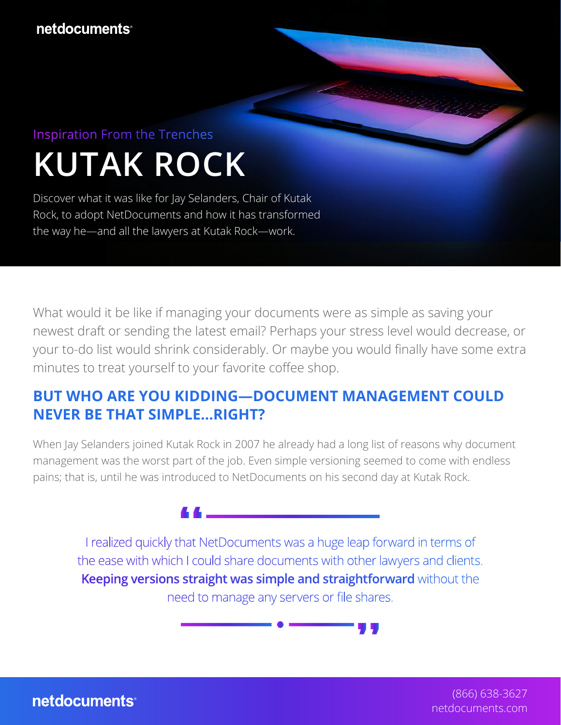# **KUTAK ROCK** Inspiration From the Trenches

Discover what it was like for Jay Selanders, Chair of Kutak Rock, to adopt NetDocuments and how it has transformed the way he—and all the lawyers at Kutak Rock—work.

What would it be like if managing your documents were as simple as saving your newest draft or sending the latest email? Perhaps your stress level would decrease, or your to-do list would shrink considerably. Or maybe you would finally have some extra minutes to treat yourself to your favorite coffee shop.

#### **BUT WHO ARE YOU KIDDING—DOCUMENT MANAGEMENT COULD NEVER BE THAT SIMPLE…RIGHT?**

When Jay Selanders joined Kutak Rock in 2007 he already had a long list of reasons why document management was the worst part of the job. Even simple versioning seemed to come with endless pains; that is, until he was introduced to NetDocuments on his second day at Kutak Rock.

I realized quickly that NetDocuments was a huge leap forward in terms of the ease with which I could share documents with other lawyers and clients. **Keeping versions straight was simple and straightforward** without the need to manage any servers or file shares.

> (866) 638-3627 [netdocuments.com](https://www.netdocuments.com/)

netdocuments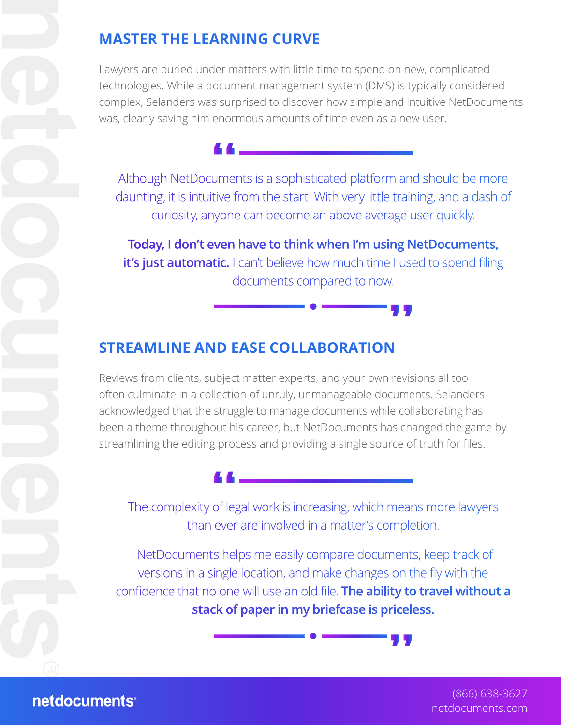### **MASTER THE LEARNING CURVE**

Lawyers are buried under matters with little time to spend on new, complicated technologies. While a document management system (DMS) is typically considered complex, Selanders was surprised to discover how simple and intuitive NetDocuments was, clearly saving him enormous amounts of time even as a new user.

Although NetDocuments is a sophisticated platform and should be more daunting, it is intuitive from the start. With very little training, and a dash of curiosity, anyone can become an above average user quickly.

**Today, I don't even have to think when I'm using NetDocuments, it's just automatic.** I can't believe how much time I used to spend filing documents compared to now.

#### **STREAMLINE AND EASE COLLABORATION**

Reviews from clients, subject matter experts, and your own revisions all too often culminate in a collection of unruly, unmanageable documents. Selanders acknowledged that the struggle to manage documents while collaborating has been a theme throughout his career, but NetDocuments has changed the game by streamlining the editing process and providing a single source of truth for files.

The complexity of legal work is increasing, which means more lawyers than ever are involved in a matter's completion.

 NetDocuments helps me easily compare documents, keep track of versions in a single location, and make changes on the fly with the confidence that no one will use an old file. **The ability to travel without a stack of paper in my briefcase is priceless.**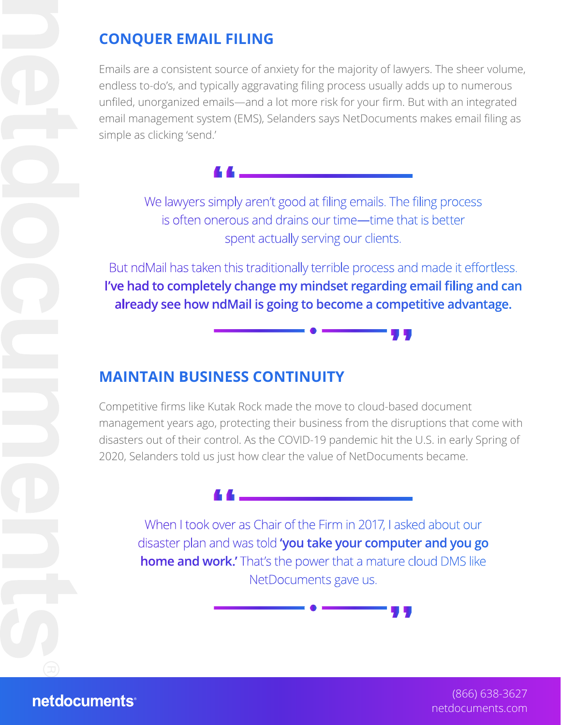## **CONQUER EMAIL FILING**

Emails are a consistent source of anxiety for the majority of lawyers. The sheer volume, endless to-do's, and typically aggravating filing process usually adds up to numerous unfiled, unorganized emails—and a lot more risk for your firm. But with an integrated email management system (EMS), Selanders says NetDocuments makes email filing as simple as clicking 'send.'

We lawyers simply aren't good at filing emails. The filing process is often onerous and drains our time—time that is better spent actually serving our clients.

But ndMail has taken this traditionally terrible process and made it effortless. **I've had to completely change my mindset regarding email filing and can already see how ndMail is going to become a competitive advantage.**

#### **MAINTAIN BUSINESS CONTINUITY**

Competitive firms like Kutak Rock made the move to cloud-based document management years ago, protecting their business from the disruptions that come with disasters out of their control. As the COVID-19 pandemic hit the U.S. in early Spring of 2020, Selanders told us just how clear the value of NetDocuments became.



When I took over as Chair of the Firm in 2017, I asked about our disaster plan and was told **'you take your computer and you go home and work.'** That's the power that a mature cloud DMS like NetDocuments gave us.